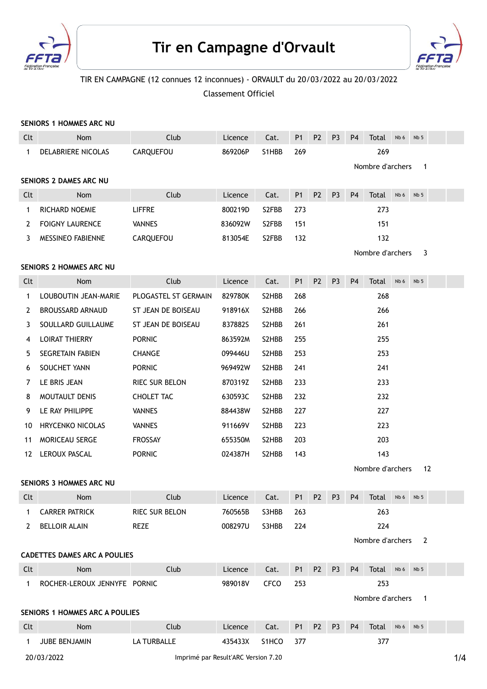

# Tir en Campagne d'Orvault



# TIR EN CAMPAGNE (12 connues 12 inconnues) - ORVAULT du 20/03/2022 au 20/03/2022

Classement Officiel

## SENIORS 1 HOMMES ARC NU

| Clt         | Nom                                   | Club                                | Licence | Cat.        | P <sub>1</sub> | P <sub>2</sub> | P <sub>3</sub> | P <sub>4</sub> | <b>Total</b>     | Nb 6 | Nb <sub>5</sub> |     |
|-------------|---------------------------------------|-------------------------------------|---------|-------------|----------------|----------------|----------------|----------------|------------------|------|-----------------|-----|
| 1           | DELABRIERE NICOLAS                    | CARQUEFOU                           | 869206P | S1HBB       | 269            |                |                |                | 269              |      |                 |     |
|             |                                       |                                     |         |             |                |                |                |                | Nombre d'archers |      | $\mathbf{1}$    |     |
|             | SENIORS 2 DAMES ARC NU                |                                     |         |             |                |                |                |                |                  |      |                 |     |
| Clt         | Nom                                   | Club                                | Licence | Cat.        | <b>P1</b>      | P <sub>2</sub> | P <sub>3</sub> | P <sub>4</sub> | Total            | Nb 6 | Nb <sub>5</sub> |     |
| 1           | RICHARD NOEMIE                        | <b>LIFFRE</b>                       | 800219D | S2FBB       | 273            |                |                |                | 273              |      |                 |     |
| 2           | <b>FOIGNY LAURENCE</b>                | <b>VANNES</b>                       | 836092W | S2FBB       | 151            |                |                |                | 151              |      |                 |     |
| 3           | <b>MESSINEO FABIENNE</b>              | CARQUEFOU                           | 813054E | S2FBB       | 132            |                |                |                | 132              |      |                 |     |
|             |                                       |                                     |         |             |                |                |                |                | Nombre d'archers |      | 3               |     |
|             | SENIORS 2 HOMMES ARC NU               |                                     |         |             |                |                |                |                |                  |      |                 |     |
| Clt         | Nom                                   | Club                                | Licence | Cat.        | <b>P1</b>      | P <sub>2</sub> | P <sub>3</sub> | P <sub>4</sub> | Total            | Nb 6 | Nb <sub>5</sub> |     |
| 1           | LOUBOUTIN JEAN-MARIE                  | PLOGASTEL ST GERMAIN                | 829780K | S2HBB       | 268            |                |                |                | 268              |      |                 |     |
| 2           | <b>BROUSSARD ARNAUD</b>               | ST JEAN DE BOISEAU                  | 918916X | S2HBB       | 266            |                |                |                | 266              |      |                 |     |
| 3           | SOULLARD GUILLAUME                    | ST JEAN DE BOISEAU                  | 8378825 | S2HBB       | 261            |                |                |                | 261              |      |                 |     |
| 4           | <b>LOIRAT THIERRY</b>                 | <b>PORNIC</b>                       | 863592M | S2HBB       | 255            |                |                |                | 255              |      |                 |     |
| 5           | <b>SEGRETAIN FABIEN</b>               | <b>CHANGE</b>                       | 099446U | S2HBB       | 253            |                |                |                | 253              |      |                 |     |
| 6           | SOUCHET YANN                          | <b>PORNIC</b>                       | 969492W | S2HBB       | 241            |                |                |                | 241              |      |                 |     |
| 7           | LE BRIS JEAN                          | RIEC SUR BELON                      | 870319Z | S2HBB       | 233            |                |                |                | 233              |      |                 |     |
| 8           | MOUTAULT DENIS                        | CHOLET TAC                          | 630593C | S2HBB       | 232            |                |                |                | 232              |      |                 |     |
| 9           | LE RAY PHILIPPE                       | <b>VANNES</b>                       | 884438W | S2HBB       | 227            |                |                |                | 227              |      |                 |     |
| 10          | <b>HRYCENKO NICOLAS</b>               | <b>VANNES</b>                       | 911669V | S2HBB       | 223            |                |                |                | 223              |      |                 |     |
| 11          | <b>MORICEAU SERGE</b>                 | <b>FROSSAY</b>                      | 655350M | S2HBB       | 203            |                |                |                | 203              |      |                 |     |
| 12          | LEROUX PASCAL                         | <b>PORNIC</b>                       | 024387H | S2HBB       | 143            |                |                |                | 143              |      |                 |     |
|             |                                       |                                     |         |             |                |                |                |                | Nombre d'archers |      | 12              |     |
|             | SENIORS 3 HOMMES ARC NU               |                                     |         |             |                |                |                |                |                  |      |                 |     |
| Clt         | Nom                                   | Club                                | Licence | Cat.        | P <sub>1</sub> | P <sub>2</sub> | P <sub>3</sub> | P <sub>4</sub> | Total            | Nb 6 | Nb <sub>5</sub> |     |
| 1           | <b>CARRER PATRICK</b>                 | <b>RIEC SUR BELON</b>               | 760565B | S3HBB       | 263            |                |                |                | 263              |      |                 |     |
| 2           | <b>BELLOIR ALAIN</b>                  | <b>REZE</b>                         | 008297U | S3HBB       | 224            |                |                |                | 224              |      |                 |     |
|             |                                       |                                     |         |             |                |                |                |                | Nombre d'archers |      | $\overline{2}$  |     |
|             | <b>CADETTES DAMES ARC A POULIES</b>   |                                     |         |             |                |                |                |                |                  |      |                 |     |
| Clt         | Nom                                   | Club                                | Licence | Cat.        | P <sub>1</sub> | P <sub>2</sub> | P <sub>3</sub> | P <sub>4</sub> | Total            | Nb 6 | Nb <sub>5</sub> |     |
| $\mathbf 1$ | ROCHER-LEROUX JENNYFE PORNIC          |                                     | 989018V | <b>CFCO</b> | 253            |                |                |                | 253              |      |                 |     |
|             |                                       |                                     |         |             |                |                |                |                | Nombre d'archers |      | $\mathbf{1}$    |     |
|             | <b>SENIORS 1 HOMMES ARC A POULIES</b> |                                     |         |             |                |                |                |                |                  |      |                 |     |
| Clt         | Nom                                   | Club                                | Licence | Cat.        | P <sub>1</sub> | P <sub>2</sub> | P <sub>3</sub> | P <sub>4</sub> | Total            | Nb 6 | Nb <sub>5</sub> |     |
| $\mathbf 1$ | JUBE BENJAMIN                         | LA TURBALLE                         | 435433X | S1HCO       | 377            |                |                |                | 377              |      |                 |     |
|             | 20/03/2022                            | Imprimé par Result'ARC Version 7.20 |         |             |                |                |                |                |                  |      |                 | 1/4 |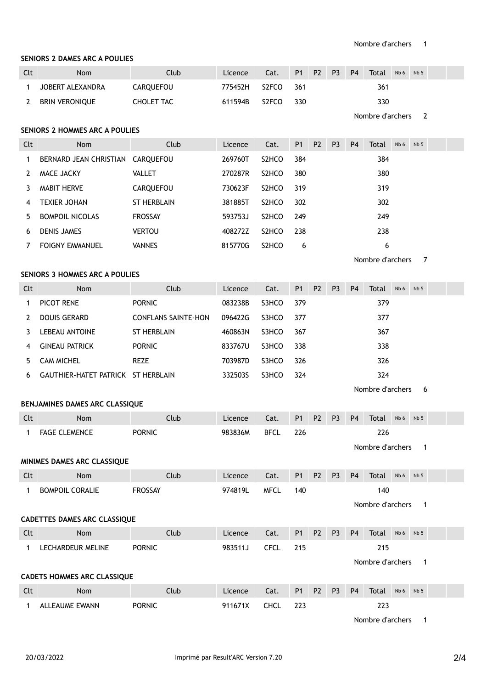# SENIORS 2 DAMES ARC A POULIES

| Clt | <b>Nom</b>       | Club             | Licence | Cat.               | <b>P1</b> | P2 P3 | <b>P4</b> | Total | $Nb 6$ $Nb 5$ |  |
|-----|------------------|------------------|---------|--------------------|-----------|-------|-----------|-------|---------------|--|
|     | JOBERT ALEXANDRA | <b>CAROUEFOU</b> | 775452H | S2FCO              | 361       |       |           | 361   |               |  |
|     | BRIN VERONIQUE   | CHOLET TAC       | 611594B | S <sub>2</sub> FCO | - 330     |       |           | 330   |               |  |

Nombre d'archers 2

### SENIORS 2 HOMMES ARC A POULIES

| Clt | <b>Nom</b>             | Club               | Licence | Cat.               | <b>P1</b> | P <sub>2</sub> | P <sub>3</sub> | P <sub>4</sub> | Total | Nb <sub>6</sub> | Nb <sub>5</sub> |  |
|-----|------------------------|--------------------|---------|--------------------|-----------|----------------|----------------|----------------|-------|-----------------|-----------------|--|
|     | BERNARD JEAN CHRISTIAN | CAROUEFOU          | 269760T | S <sub>2</sub> HCO | 384       |                |                |                | 384   |                 |                 |  |
|     | MACE JACKY             | <b>VALLET</b>      | 270287R | S <sub>2</sub> HCO | 380       |                |                |                | 380   |                 |                 |  |
|     | <b>MABIT HERVE</b>     | CARQUEFOU          | 730623F | S <sub>2</sub> HCO | 319       |                |                |                | 319   |                 |                 |  |
| 4   | <b>TEXIER JOHAN</b>    | <b>ST HERBLAIN</b> | 381885T | S <sub>2</sub> HCO | 302       |                |                |                | 302   |                 |                 |  |
| 5.  | <b>BOMPOIL NICOLAS</b> | <b>FROSSAY</b>     | 593753J | S <sub>2</sub> HCO | 249       |                |                |                | 249   |                 |                 |  |
| 6   | <b>DENIS JAMES</b>     | <b>VERTOU</b>      | 408272Z | S <sub>2</sub> HCO | 238       |                |                |                | 238   |                 |                 |  |
|     | <b>FOIGNY EMMANUEL</b> | <b>VANNES</b>      | 815770G | S <sub>2</sub> HCO | 6         |                |                |                | 6     |                 |                 |  |

Nombre d'archers 7

# SENIORS 3 HOMMES ARC A POULIES

| Clt | <b>Nom</b>             | Club                       | Licence | Cat.  | P1  | P <sub>2</sub> | P <sub>3</sub> | P <sub>4</sub> | Total | Nb 6 | Nb <sub>5</sub> |  |
|-----|------------------------|----------------------------|---------|-------|-----|----------------|----------------|----------------|-------|------|-----------------|--|
|     | PICOT RENE             | <b>PORNIC</b>              | 083238B | S3HCO | 379 |                |                |                | 379   |      |                 |  |
|     | DOUIS GERARD           | <b>CONFLANS SAINTE-HON</b> | 096422G | S3HCO | 377 |                |                |                | 377   |      |                 |  |
|     | <b>LEBEAU ANTOINE</b>  | ST HERBLAIN                | 460863N | S3HCO | 367 |                |                |                | 367   |      |                 |  |
| 4   | <b>GINEAU PATRICK</b>  | <b>PORNIC</b>              | 833767U | S3HCO | 338 |                |                |                | 338   |      |                 |  |
| 5.  | <b>CAM MICHEL</b>      | <b>REZE</b>                | 703987D | S3HCO | 326 |                |                |                | 326   |      |                 |  |
| 6   | GAUTHIER-HATET PATRICK | ST HERBLAIN                | 332503S | S3HCO | 324 |                |                |                | 324   |      |                 |  |

Nombre d'archers 6

#### BENJAMINES DAMES ARC CLASSIQUE

| Clt | <b>Nom</b>           | Club          | Licence | Cat. |     | P1 P2 P3 P4      |  | Total | Nb <sub>6</sub> | Nb <sub>5</sub> |  |  |  |
|-----|----------------------|---------------|---------|------|-----|------------------|--|-------|-----------------|-----------------|--|--|--|
|     | <b>FAGE CLEMENCE</b> | <b>PORNIC</b> | 983836M | BFCL | 226 |                  |  |       |                 |                 |  |  |  |
|     |                      |               |         |      |     | Nombre d'archers |  |       |                 |                 |  |  |  |

#### MINIMES DAMES ARC CLASSIQUE

| Clt | <b>Nom</b>      | Club           | Licence | Cat. |     | P1 P2 P3 P4 |  | Total            | Nb <sub>6</sub> | Nb <sub>5</sub> |  |
|-----|-----------------|----------------|---------|------|-----|-------------|--|------------------|-----------------|-----------------|--|
|     | BOMPOIL CORALIE | <b>FROSSAY</b> | 974819L | MFCL | 140 |             |  | 140              |                 |                 |  |
|     |                 |                |         |      |     |             |  | Nombre d'archers |                 |                 |  |

#### CADETTES DAMES ARC CLASSIQUE

| Clt | <b>Nom</b>        | Club          | Licence | Cat. |     | P1 P2 P3 | $\overline{P4}$ | <b>Total</b>     | Nb 6 | Nb 5 |  |  |
|-----|-------------------|---------------|---------|------|-----|----------|-----------------|------------------|------|------|--|--|
|     | LECHARDEUR MELINE | <b>PORNIC</b> | 983511J | CFCL | 215 |          | 215             |                  |      |      |  |  |
|     |                   |               |         |      |     |          |                 | Nombre d'archers |      |      |  |  |

# CADETS HOMMES ARC CLASSIQUE Clt Nom Club Licence Cat. P1 P2 P3 P4 Total Nb 6 Nb 5 1 ALLEAUME EWANN PORNIC 223 911671X CHCL 223

Nombre d'archers 1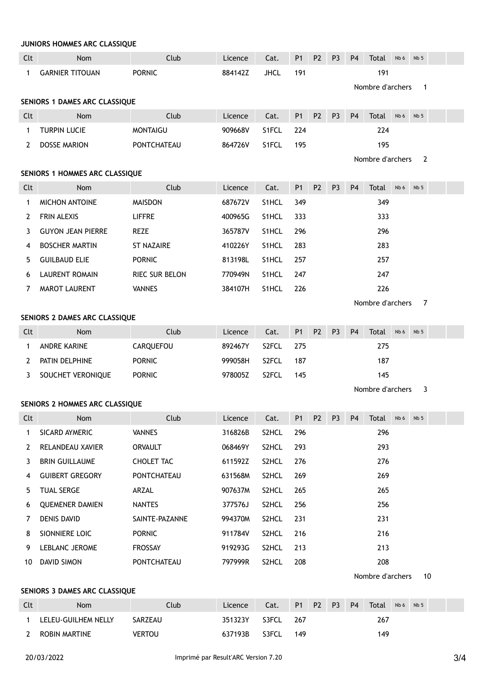|              | JUNIORS HOMMES ARC CLASSIQUE          |                       |         |             |                |                |                |                |                  |      |                 |  |
|--------------|---------------------------------------|-----------------------|---------|-------------|----------------|----------------|----------------|----------------|------------------|------|-----------------|--|
| Clt          | Nom                                   | Club                  | Licence | Cat.        | P <sub>1</sub> | P <sub>2</sub> | P <sub>3</sub> | P <sub>4</sub> | Total            | Nb 6 | Nb <sub>5</sub> |  |
| $\mathbf 1$  | <b>GARNIER TITOUAN</b>                | <b>PORNIC</b>         | 884142Z | <b>JHCL</b> | 191            |                |                |                | 191              |      |                 |  |
|              |                                       |                       |         |             |                |                |                |                | Nombre d'archers |      | $\mathbf{1}$    |  |
|              | SENIORS 1 DAMES ARC CLASSIQUE         |                       |         |             |                |                |                |                |                  |      |                 |  |
| Clt          | Nom                                   | Club                  | Licence | Cat.        | P <sub>1</sub> | P <sub>2</sub> | P <sub>3</sub> | P <sub>4</sub> | Total            | Nb 6 | Nb <sub>5</sub> |  |
| $\mathbf 1$  | <b>TURPIN LUCIE</b>                   | <b>MONTAIGU</b>       | 909668V | S1FCL       | 224            |                |                |                | 224              |      |                 |  |
| $\mathbf{2}$ | <b>DOSSE MARION</b>                   | <b>PONTCHATEAU</b>    | 864726V | S1FCL       | 195            |                |                |                | 195              |      |                 |  |
|              |                                       |                       |         |             |                |                |                |                | Nombre d'archers |      | 2               |  |
|              | SENIORS 1 HOMMES ARC CLASSIQUE        |                       |         |             |                |                |                |                |                  |      |                 |  |
| Clt          | Nom                                   | Club                  | Licence | Cat.        | P <sub>1</sub> | <b>P2</b>      | P <sub>3</sub> | P <sub>4</sub> | Total            | Nb 6 | Nb <sub>5</sub> |  |
| $\mathbf 1$  | <b>MICHON ANTOINE</b>                 | <b>MAISDON</b>        | 687672V | S1HCL       | 349            |                |                |                | 349              |      |                 |  |
| 2            | FRIN ALEXIS                           | <b>LIFFRE</b>         | 400965G | S1HCL       | 333            |                |                |                | 333              |      |                 |  |
| 3            | <b>GUYON JEAN PIERRE</b>              | REZE                  | 365787V | S1HCL       | 296            |                |                |                | 296              |      |                 |  |
| 4            | <b>BOSCHER MARTIN</b>                 | <b>ST NAZAIRE</b>     | 410226Y | S1HCL       | 283            |                |                |                | 283              |      |                 |  |
| 5            | <b>GUILBAUD ELIE</b>                  | <b>PORNIC</b>         | 813198L | S1HCL       | 257            |                |                |                | 257              |      |                 |  |
| 6            | <b>LAURENT ROMAIN</b>                 | <b>RIEC SUR BELON</b> | 770949N | S1HCL       | 247            |                |                |                | 247              |      |                 |  |
| 7            | <b>MAROT LAURENT</b>                  | <b>VANNES</b>         | 384107H | S1HCL       | 226            |                |                |                | 226              |      |                 |  |
|              |                                       |                       |         |             |                |                |                |                | Nombre d'archers |      | 7               |  |
|              | SENIORS 2 DAMES ARC CLASSIQUE         |                       |         |             |                |                |                |                |                  |      |                 |  |
| Clt          | <b>Nom</b>                            | Club                  | Licence | Cat.        | P <sub>1</sub> | P <sub>2</sub> | P <sub>3</sub> | P <sub>4</sub> | Total            | Nb 6 | Nb <sub>5</sub> |  |
| 1            | ANDRE KARINE                          | CARQUEFOU             | 892467Y | S2FCL       | 275            |                |                |                | 275              |      |                 |  |
| 2            | PATIN DELPHINE                        | <b>PORNIC</b>         | 999058H | S2FCL       | 187            |                |                |                | 187              |      |                 |  |
| 3            | SOUCHET VERONIQUE                     | <b>PORNIC</b>         | 978005Z | S2FCL       | 145            |                |                |                | 145              |      |                 |  |
|              |                                       |                       |         |             |                |                |                |                | Nombre d'archers |      | 3               |  |
|              | <b>SENIORS 2 HOMMES ARC CLASSIOUE</b> |                       |         |             |                |                |                |                |                  |      |                 |  |
| Clt          | Nom                                   | Club                  | Licence | Cat.        | P <sub>1</sub> | P <sub>2</sub> | P <sub>3</sub> | P <sub>4</sub> | Total            | Nb 6 | Nb <sub>5</sub> |  |
| 1            | SICARD AYMERIC                        | <b>VANNES</b>         | 316826B | S2HCL       | 296            |                |                |                | 296              |      |                 |  |
| 2            | RELANDEAU XAVIER                      | ORVAULT               | 068469Y | S2HCL       | 293            |                |                |                | 293              |      |                 |  |
| 3            | <b>BRIN GUILLAUME</b>                 | CHOLET TAC            | 611592Z | S2HCL       | 276            |                |                |                | 276              |      |                 |  |
| 4            | <b>GUIBERT GREGORY</b>                | PONTCHATEAU           | 631568M | S2HCL       | 269            |                |                |                | 269              |      |                 |  |
| 5            | <b>TUAL SERGE</b>                     | ARZAL                 | 907637M | S2HCL       | 265            |                |                |                | 265              |      |                 |  |
| 6            | <b>QUEMENER DAMIEN</b>                | NANTES                | 377576J | S2HCL       | 256            |                |                |                | 256              |      |                 |  |
| 7            | DENIS DAVID                           | SAINTE-PAZANNE        | 994370M | S2HCL       | 231            |                |                |                | 231              |      |                 |  |
| 8            | SIONNIERE LOIC                        | <b>PORNIC</b>         | 911784V | S2HCL       | 216            |                |                |                | 216              |      |                 |  |
| 9            | LEBLANC JEROME                        | FROSSAY               | 919293G | S2HCL       | 213            |                |                |                | 213              |      |                 |  |
| 10           | DAVID SIMON                           | PONTCHATEAU           | 797999R | S2HCL       | 208            |                |                |                | 208              |      |                 |  |
|              |                                       |                       |         |             |                |                |                |                | Nombre d'archers |      | 10              |  |
|              | SENIORS 3 DAMES ARC CLASSIQUE         |                       |         |             |                |                |                |                |                  |      |                 |  |

| Clt | <b>Nom</b>          | Club    | Licence | Cat.  | P <sub>1</sub> | P2 P3 | <b>P4</b> | Total | Nb 6 | Nb <sub>5</sub> |  |
|-----|---------------------|---------|---------|-------|----------------|-------|-----------|-------|------|-----------------|--|
|     | LELEU-GUILHEM NELLY | SARZEAU | 351323Y | S3FCL | 267            |       |           | 267   |      |                 |  |
|     | ROBIN MARTINE       | vertou  | 637193B | S3FCL | 149            |       |           | 149   |      |                 |  |